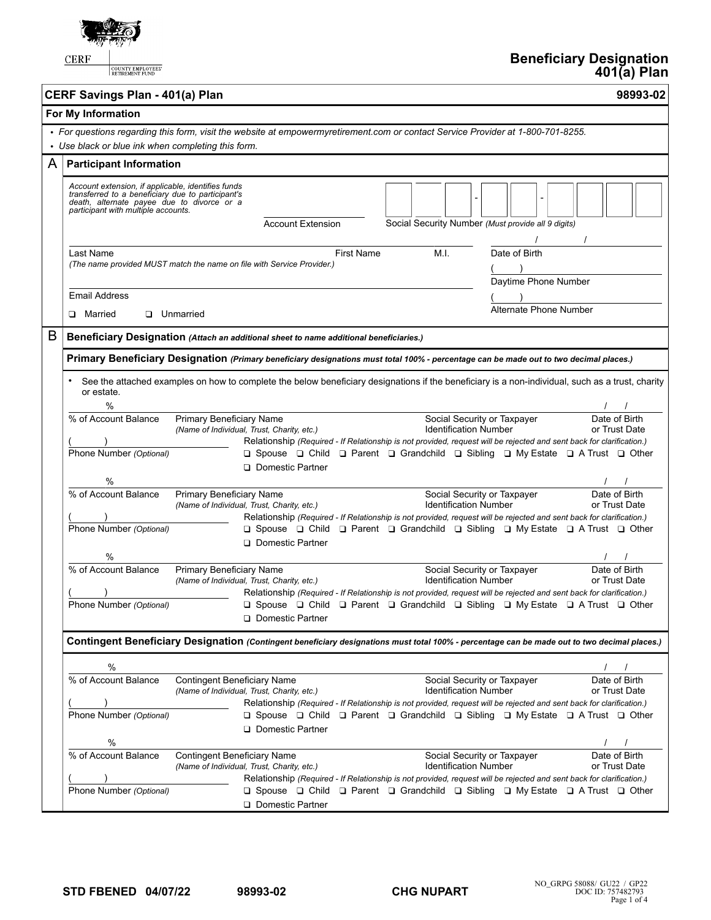

COUNTY EMPLOYEES'

|                                                                                                                                                                                        | CERF Savings Plan - 401(a) Plan                                                                                                                                                              |                                                                                                                                                                                                                                                                                                                                                                                                   | 98993-02                       |  |  |
|----------------------------------------------------------------------------------------------------------------------------------------------------------------------------------------|----------------------------------------------------------------------------------------------------------------------------------------------------------------------------------------------|---------------------------------------------------------------------------------------------------------------------------------------------------------------------------------------------------------------------------------------------------------------------------------------------------------------------------------------------------------------------------------------------------|--------------------------------|--|--|
| For My Information                                                                                                                                                                     |                                                                                                                                                                                              |                                                                                                                                                                                                                                                                                                                                                                                                   |                                |  |  |
| • For questions regarding this form, visit the website at empowermyretirement.com or contact Service Provider at 1-800-701-8255.<br>• Use black or blue ink when completing this form. |                                                                                                                                                                                              |                                                                                                                                                                                                                                                                                                                                                                                                   |                                |  |  |
| A                                                                                                                                                                                      | <b>Participant Information</b>                                                                                                                                                               |                                                                                                                                                                                                                                                                                                                                                                                                   |                                |  |  |
|                                                                                                                                                                                        | Account extension, if applicable, identifies funds<br>transferred to a beneficiary due to participant's<br>death, alternate payee due to divorce or a<br>participant with multiple accounts. | <b>Account Extension</b><br>Social Security Number (Must provide all 9 digits)                                                                                                                                                                                                                                                                                                                    |                                |  |  |
|                                                                                                                                                                                        | Last Name                                                                                                                                                                                    | M.I.<br><b>First Name</b><br>Date of Birth<br>(The name provided MUST match the name on file with Service Provider.)<br>Daytime Phone Number                                                                                                                                                                                                                                                      |                                |  |  |
|                                                                                                                                                                                        | <b>Email Address</b>                                                                                                                                                                         |                                                                                                                                                                                                                                                                                                                                                                                                   |                                |  |  |
|                                                                                                                                                                                        | D Married                                                                                                                                                                                    | Alternate Phone Number<br><b>Unmarried</b>                                                                                                                                                                                                                                                                                                                                                        |                                |  |  |
| B                                                                                                                                                                                      |                                                                                                                                                                                              | Beneficiary Designation (Attach an additional sheet to name additional beneficiaries.)                                                                                                                                                                                                                                                                                                            |                                |  |  |
|                                                                                                                                                                                        |                                                                                                                                                                                              | Primary Beneficiary Designation (Primary beneficiary designations must total 100% - percentage can be made out to two decimal places.)                                                                                                                                                                                                                                                            |                                |  |  |
|                                                                                                                                                                                        | or estate.<br>$\%$                                                                                                                                                                           | See the attached examples on how to complete the below beneficiary designations if the beneficiary is a non-individual, such as a trust, charity                                                                                                                                                                                                                                                  |                                |  |  |
|                                                                                                                                                                                        | % of Account Balance                                                                                                                                                                         | Primary Beneficiary Name<br>Social Security or Taxpayer<br><b>Identification Number</b><br>(Name of Individual, Trust, Charity, etc.)<br>Relationship (Required - If Relationship is not provided, request will be rejected and sent back for clarification.)                                                                                                                                     | Date of Birth<br>or Trust Date |  |  |
|                                                                                                                                                                                        | Phone Number (Optional)<br>%                                                                                                                                                                 | $\Box$ Spouse $\Box$ Child $\Box$ Parent $\Box$ Grandchild $\Box$ Sibling $\Box$ My Estate $\Box$ A Trust $\Box$ Other<br>Domestic Partner                                                                                                                                                                                                                                                        |                                |  |  |
|                                                                                                                                                                                        | % of Account Balance<br>Phone Number (Optional)                                                                                                                                              | Primary Beneficiary Name<br>Social Security or Taxpayer<br><b>Identification Number</b><br>(Name of Individual, Trust, Charity, etc.)<br>Relationship (Required - If Relationship is not provided, request will be rejected and sent back for clarification.)<br>$\Box$ Spouse $\Box$ Child $\Box$ Parent $\Box$ Grandchild $\Box$ Sibling $\Box$ My Estate $\Box$ A Trust $\Box$ Other           | Date of Birth<br>or Trust Date |  |  |
|                                                                                                                                                                                        |                                                                                                                                                                                              | <b>Q</b> Domestic Partner                                                                                                                                                                                                                                                                                                                                                                         |                                |  |  |
|                                                                                                                                                                                        | %<br>% of Account Balance                                                                                                                                                                    | Primary Beneficiary Name<br>Social Security or Taxpayer<br><b>Identification Number</b><br>(Name of Individual, Trust, Charity, etc.)<br>Relationship (Required - If Relationship is not provided, request will be rejected and sent back for clarification.)                                                                                                                                     | Date of Birth<br>or Trust Date |  |  |
|                                                                                                                                                                                        | Phone Number (Optional)                                                                                                                                                                      | $\Box$ Spouse $\Box$ Child $\Box$ Parent $\Box$ Grandchild $\Box$ Sibling $\Box$ My Estate $\Box$ A Trust $\Box$ Other<br>Domestic Partner                                                                                                                                                                                                                                                        |                                |  |  |
|                                                                                                                                                                                        |                                                                                                                                                                                              | Contingent Beneficiary Designation (Contingent beneficiary designations must total 100% - percentage can be made out to two decimal places.)                                                                                                                                                                                                                                                      |                                |  |  |
|                                                                                                                                                                                        | %                                                                                                                                                                                            |                                                                                                                                                                                                                                                                                                                                                                                                   | $\prime$                       |  |  |
|                                                                                                                                                                                        | % of Account Balance<br>Phone Number (Optional)                                                                                                                                              | <b>Contingent Beneficiary Name</b><br>Social Security or Taxpayer<br><b>Identification Number</b><br>(Name of Individual, Trust, Charity, etc.)<br>Relationship (Required - If Relationship is not provided, request will be rejected and sent back for clarification.)<br>$\Box$ Spouse $\Box$ Child $\Box$ Parent $\Box$ Grandchild $\Box$ Sibling $\Box$ My Estate $\Box$ A Trust $\Box$ Other | Date of Birth<br>or Trust Date |  |  |
|                                                                                                                                                                                        | %                                                                                                                                                                                            | Domestic Partner                                                                                                                                                                                                                                                                                                                                                                                  |                                |  |  |
|                                                                                                                                                                                        | % of Account Balance<br>Phone Number (Optional)                                                                                                                                              | <b>Contingent Beneficiary Name</b><br>Social Security or Taxpayer<br><b>Identification Number</b><br>(Name of Individual, Trust, Charity, etc.)<br>Relationship (Required - If Relationship is not provided, request will be rejected and sent back for clarification.)<br>□ Spouse □ Child □ Parent □ Grandchild □ Sibling □ My Estate □ A Trust □ Other                                         | Date of Birth<br>or Trust Date |  |  |
|                                                                                                                                                                                        |                                                                                                                                                                                              | Domestic Partner                                                                                                                                                                                                                                                                                                                                                                                  |                                |  |  |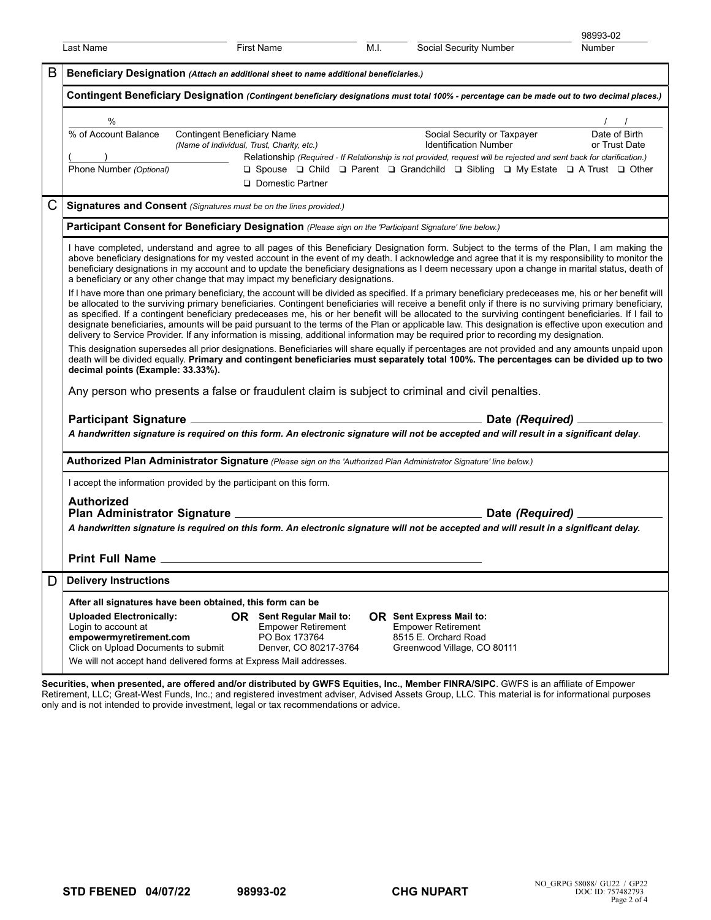|                                                                                                                                                                                                                                                                                                                                                                                                                                                                                                                                                                                                                                                                                                                                                                               |                                                                                                                                                                                                                                                                                                                                                                                                                                                                                                                                        |                                                                                                                                                                                                                                           |      |                                                                                                                                                                                                        | 98993-02                         |  |
|-------------------------------------------------------------------------------------------------------------------------------------------------------------------------------------------------------------------------------------------------------------------------------------------------------------------------------------------------------------------------------------------------------------------------------------------------------------------------------------------------------------------------------------------------------------------------------------------------------------------------------------------------------------------------------------------------------------------------------------------------------------------------------|----------------------------------------------------------------------------------------------------------------------------------------------------------------------------------------------------------------------------------------------------------------------------------------------------------------------------------------------------------------------------------------------------------------------------------------------------------------------------------------------------------------------------------------|-------------------------------------------------------------------------------------------------------------------------------------------------------------------------------------------------------------------------------------------|------|--------------------------------------------------------------------------------------------------------------------------------------------------------------------------------------------------------|----------------------------------|--|
|                                                                                                                                                                                                                                                                                                                                                                                                                                                                                                                                                                                                                                                                                                                                                                               | Last Name                                                                                                                                                                                                                                                                                                                                                                                                                                                                                                                              | First Name                                                                                                                                                                                                                                | M.I. | Social Security Number                                                                                                                                                                                 | <b>Number</b>                    |  |
| B                                                                                                                                                                                                                                                                                                                                                                                                                                                                                                                                                                                                                                                                                                                                                                             | Beneficiary Designation (Attach an additional sheet to name additional beneficiaries.)<br>Contingent Beneficiary Designation (Contingent beneficiary designations must total 100% - percentage can be made out to two decimal places.)                                                                                                                                                                                                                                                                                                 |                                                                                                                                                                                                                                           |      |                                                                                                                                                                                                        |                                  |  |
|                                                                                                                                                                                                                                                                                                                                                                                                                                                                                                                                                                                                                                                                                                                                                                               |                                                                                                                                                                                                                                                                                                                                                                                                                                                                                                                                        |                                                                                                                                                                                                                                           |      |                                                                                                                                                                                                        |                                  |  |
|                                                                                                                                                                                                                                                                                                                                                                                                                                                                                                                                                                                                                                                                                                                                                                               | $\%$                                                                                                                                                                                                                                                                                                                                                                                                                                                                                                                                   |                                                                                                                                                                                                                                           |      |                                                                                                                                                                                                        | $\frac{1}{\sqrt{1-\frac{1}{2}}}$ |  |
|                                                                                                                                                                                                                                                                                                                                                                                                                                                                                                                                                                                                                                                                                                                                                                               | % of Account Balance                                                                                                                                                                                                                                                                                                                                                                                                                                                                                                                   | <b>Contingent Beneficiary Name</b><br>(Name of Individual, Trust, Charity, etc.)                                                                                                                                                          |      | Social Security or Taxpayer<br>Identification Number                                                                                                                                                   | Date of Birth<br>or Trust Date   |  |
|                                                                                                                                                                                                                                                                                                                                                                                                                                                                                                                                                                                                                                                                                                                                                                               | $\frac{(\hspace{1cm})}{\text{Phone Number }(\text{Optional})}$                                                                                                                                                                                                                                                                                                                                                                                                                                                                         | <b>Q</b> Domestic Partner                                                                                                                                                                                                                 |      | Relationship (Required - If Relationship is not provided, request will be rejected and sent back for clarification.)<br>□ Spouse □ Child □ Parent □ Grandchild □ Sibling □ My Estate □ A Trust □ Other |                                  |  |
| Signatures and Consent (Signatures must be on the lines provided.)                                                                                                                                                                                                                                                                                                                                                                                                                                                                                                                                                                                                                                                                                                            |                                                                                                                                                                                                                                                                                                                                                                                                                                                                                                                                        |                                                                                                                                                                                                                                           |      |                                                                                                                                                                                                        |                                  |  |
|                                                                                                                                                                                                                                                                                                                                                                                                                                                                                                                                                                                                                                                                                                                                                                               |                                                                                                                                                                                                                                                                                                                                                                                                                                                                                                                                        | Participant Consent for Beneficiary Designation (Please sign on the 'Participant Signature' line below.)                                                                                                                                  |      |                                                                                                                                                                                                        |                                  |  |
|                                                                                                                                                                                                                                                                                                                                                                                                                                                                                                                                                                                                                                                                                                                                                                               | I have completed, understand and agree to all pages of this Beneficiary Designation form. Subject to the terms of the Plan, I am making the<br>above beneficiary designations for my vested account in the event of my death. I acknowledge and agree that it is my responsibility to monitor the<br>beneficiary designations in my account and to update the beneficiary designations as I deem necessary upon a change in marital status, death of<br>a beneficiary or any other change that may impact my beneficiary designations. |                                                                                                                                                                                                                                           |      |                                                                                                                                                                                                        |                                  |  |
| If I have more than one primary beneficiary, the account will be divided as specified. If a primary beneficiary predeceases me, his or her benefit will<br>be allocated to the surviving primary beneficiaries. Contingent beneficiaries will receive a benefit only if there is no surviving primary beneficiary,<br>as specified. If a contingent beneficiary predeceases me, his or her benefit will be allocated to the surviving contingent beneficiaries. If I fail to<br>designate beneficiaries, amounts will be paid pursuant to the terms of the Plan or applicable law. This designation is effective upon execution and<br>delivery to Service Provider. If any information is missing, additional information may be required prior to recording my designation. |                                                                                                                                                                                                                                                                                                                                                                                                                                                                                                                                        |                                                                                                                                                                                                                                           |      |                                                                                                                                                                                                        |                                  |  |
|                                                                                                                                                                                                                                                                                                                                                                                                                                                                                                                                                                                                                                                                                                                                                                               | This designation supersedes all prior designations. Beneficiaries will share equally if percentages are not provided and any amounts unpaid upon<br>death will be divided equally. Primary and contingent beneficiaries must separately total 100%. The percentages can be divided up to two<br>decimal points (Example: 33.33%).                                                                                                                                                                                                      |                                                                                                                                                                                                                                           |      |                                                                                                                                                                                                        |                                  |  |
|                                                                                                                                                                                                                                                                                                                                                                                                                                                                                                                                                                                                                                                                                                                                                                               | Any person who presents a false or fraudulent claim is subject to criminal and civil penalties.                                                                                                                                                                                                                                                                                                                                                                                                                                        |                                                                                                                                                                                                                                           |      |                                                                                                                                                                                                        |                                  |  |
|                                                                                                                                                                                                                                                                                                                                                                                                                                                                                                                                                                                                                                                                                                                                                                               |                                                                                                                                                                                                                                                                                                                                                                                                                                                                                                                                        |                                                                                                                                                                                                                                           |      |                                                                                                                                                                                                        |                                  |  |
|                                                                                                                                                                                                                                                                                                                                                                                                                                                                                                                                                                                                                                                                                                                                                                               | A handwritten signature is required on this form. An electronic signature will not be accepted and will result in a significant delay.                                                                                                                                                                                                                                                                                                                                                                                                 |                                                                                                                                                                                                                                           |      |                                                                                                                                                                                                        |                                  |  |
|                                                                                                                                                                                                                                                                                                                                                                                                                                                                                                                                                                                                                                                                                                                                                                               |                                                                                                                                                                                                                                                                                                                                                                                                                                                                                                                                        | Authorized Plan Administrator Signature (Please sign on the 'Authorized Plan Administrator Signature' line below.)                                                                                                                        |      |                                                                                                                                                                                                        |                                  |  |
|                                                                                                                                                                                                                                                                                                                                                                                                                                                                                                                                                                                                                                                                                                                                                                               |                                                                                                                                                                                                                                                                                                                                                                                                                                                                                                                                        | I accept the information provided by the participant on this form.                                                                                                                                                                        |      |                                                                                                                                                                                                        |                                  |  |
|                                                                                                                                                                                                                                                                                                                                                                                                                                                                                                                                                                                                                                                                                                                                                                               | <b>Authorized</b>                                                                                                                                                                                                                                                                                                                                                                                                                                                                                                                      |                                                                                                                                                                                                                                           |      |                                                                                                                                                                                                        |                                  |  |
|                                                                                                                                                                                                                                                                                                                                                                                                                                                                                                                                                                                                                                                                                                                                                                               | A handwritten signature is required on this form. An electronic signature will not be accepted and will result in a significant delay.                                                                                                                                                                                                                                                                                                                                                                                                 |                                                                                                                                                                                                                                           |      |                                                                                                                                                                                                        |                                  |  |
|                                                                                                                                                                                                                                                                                                                                                                                                                                                                                                                                                                                                                                                                                                                                                                               | <b>Print Full Name</b>                                                                                                                                                                                                                                                                                                                                                                                                                                                                                                                 |                                                                                                                                                                                                                                           |      |                                                                                                                                                                                                        |                                  |  |
| D                                                                                                                                                                                                                                                                                                                                                                                                                                                                                                                                                                                                                                                                                                                                                                             | <b>Delivery Instructions</b>                                                                                                                                                                                                                                                                                                                                                                                                                                                                                                           |                                                                                                                                                                                                                                           |      |                                                                                                                                                                                                        |                                  |  |
|                                                                                                                                                                                                                                                                                                                                                                                                                                                                                                                                                                                                                                                                                                                                                                               | <b>Uploaded Electronically:</b><br>Login to account at<br>empowermyretirement.com<br>Click on Upload Documents to submit                                                                                                                                                                                                                                                                                                                                                                                                               | After all signatures have been obtained, this form can be<br><b>OR</b> Sent Regular Mail to:<br><b>Empower Retirement</b><br>PO Box 173764<br>Denver, CO 80217-3764<br>We will not accept hand delivered forms at Express Mail addresses. |      | <b>OR</b> Sent Express Mail to:<br><b>Empower Retirement</b><br>8515 E. Orchard Road<br>Greenwood Village, CO 80111                                                                                    |                                  |  |

**Securities, when presented, are offered and/or distributed by GWFS Equities, Inc., Member FINRA/SIPC**. GWFS is an affiliate of Empower Retirement, LLC; Great-West Funds, Inc.; and registered investment adviser, Advised Assets Group, LLC. This material is for informational purposes only and is not intended to provide investment, legal or tax recommendations or advice.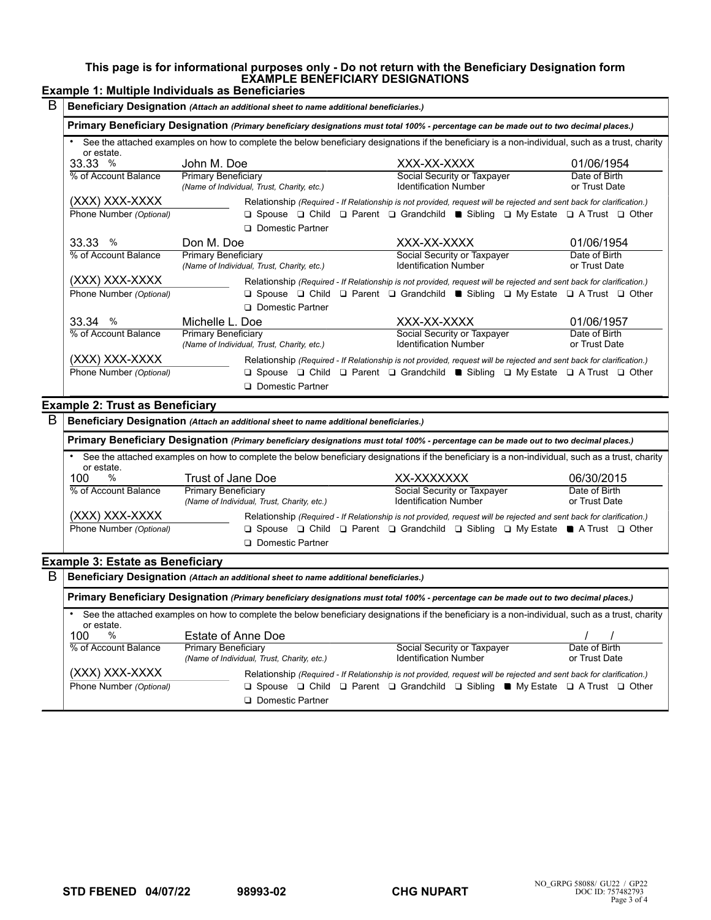### **This page is for informational purposes only - Do not return with the Beneficiary Designation form EXAMPLE BENEFICIARY DESIGNATIONS**

# **Example 1: Multiple Individuals as Beneficiaries**

| B<br>Beneficiary Designation (Attach an additional sheet to name additional beneficiaries.) |                                                                                                                                        |                                                                                                                                                                                                                                                        |                                |  |
|---------------------------------------------------------------------------------------------|----------------------------------------------------------------------------------------------------------------------------------------|--------------------------------------------------------------------------------------------------------------------------------------------------------------------------------------------------------------------------------------------------------|--------------------------------|--|
|                                                                                             | Primary Beneficiary Designation (Primary beneficiary designations must total 100% - percentage can be made out to two decimal places.) |                                                                                                                                                                                                                                                        |                                |  |
| or estate.                                                                                  |                                                                                                                                        | See the attached examples on how to complete the below beneficiary designations if the beneficiary is a non-individual, such as a trust, charity                                                                                                       |                                |  |
| 33.33%                                                                                      | John M. Doe                                                                                                                            | XXX-XX-XXXX                                                                                                                                                                                                                                            | 01/06/1954                     |  |
| % of Account Balance                                                                        | Primary Beneficiary<br>(Name of Individual, Trust, Charity, etc.)                                                                      | Social Security or Taxpayer<br><b>Identification Number</b>                                                                                                                                                                                            | Date of Birth<br>or Trust Date |  |
| (XXX) XXX-XXXX                                                                              |                                                                                                                                        | Relationship (Required - If Relationship is not provided, request will be rejected and sent back for clarification.)                                                                                                                                   |                                |  |
| Phone Number (Optional)                                                                     |                                                                                                                                        | $\Box$ Spouse $\Box$ Child $\Box$ Parent $\Box$ Grandchild <b>a</b> Sibling $\Box$ My Estate $\Box$ A Trust $\Box$ Other                                                                                                                               |                                |  |
|                                                                                             | □ Domestic Partner                                                                                                                     |                                                                                                                                                                                                                                                        |                                |  |
| 33.33 %                                                                                     | Don M. Doe                                                                                                                             | XXX-XX-XXXX                                                                                                                                                                                                                                            | 01/06/1954                     |  |
| % of Account Balance                                                                        | <b>Primary Beneficiary</b><br>(Name of Individual, Trust, Charity, etc.)                                                               | Social Security or Taxpayer<br><b>Identification Number</b>                                                                                                                                                                                            | Date of Birth<br>or Trust Date |  |
| (XXX) XXX-XXXX                                                                              |                                                                                                                                        | Relationship (Required - If Relationship is not provided, request will be rejected and sent back for clarification.)                                                                                                                                   |                                |  |
| Phone Number (Optional)                                                                     | □ Domestic Partner                                                                                                                     | $\Box$ Spouse $\Box$ Child $\Box$ Parent $\Box$ Grandchild <b>a</b> Sibling $\Box$ My Estate $\Box$ A Trust $\Box$ Other                                                                                                                               |                                |  |
| 33.34%                                                                                      | Michelle L. Doe                                                                                                                        | XXX-XX-XXXX                                                                                                                                                                                                                                            | 01/06/1957                     |  |
| % of Account Balance                                                                        | <b>Primary Beneficiary</b><br>(Name of Individual, Trust, Charity, etc.)                                                               | Social Security or Taxpayer<br><b>Identification Number</b>                                                                                                                                                                                            | Date of Birth<br>or Trust Date |  |
| (XXX) XXX-XXXX<br>Phone Number (Optional)                                                   | □ Domestic Partner                                                                                                                     | Relationship (Required - If Relationship is not provided, request will be rejected and sent back for clarification.)<br>$\Box$ Spouse $\Box$ Child $\Box$ Parent $\Box$ Grandchild $\blacksquare$ Sibling $\Box$ My Estate $\Box$ A Trust $\Box$ Other |                                |  |

### **Example 2: Trust as Beneficiary**

| В                                                                                                                                      | Beneficiary Designation (Attach an additional sheet to name additional beneficiaries.)                                                                         |                                                                   |                                                                                                                 |                                |  |
|----------------------------------------------------------------------------------------------------------------------------------------|----------------------------------------------------------------------------------------------------------------------------------------------------------------|-------------------------------------------------------------------|-----------------------------------------------------------------------------------------------------------------|--------------------------------|--|
|                                                                                                                                        | Primary Beneficiary Designation (Primary beneficiary designations must total 100% - percentage can be made out to two decimal places.)                         |                                                                   |                                                                                                                 |                                |  |
|                                                                                                                                        | See the attached examples on how to complete the below beneficiary designations if the beneficiary is a non-individual, such as a trust, charity<br>or estate. |                                                                   |                                                                                                                 |                                |  |
|                                                                                                                                        | %<br>100                                                                                                                                                       | Trust of Jane Doe                                                 | XX-XXXXXXX                                                                                                      | 06/30/2015                     |  |
|                                                                                                                                        | % of Account Balance                                                                                                                                           | Primary Beneficiary<br>(Name of Individual, Trust, Charity, etc.) | Social Security or Taxpayer<br><b>Identification Number</b>                                                     | Date of Birth<br>or Trust Date |  |
| (XXX) XXX-XXXX<br>Relationship (Required - If Relationship is not provided, request will be rejected and sent back for clarification.) |                                                                                                                                                                |                                                                   |                                                                                                                 |                                |  |
|                                                                                                                                        | Phone Number (Optional)                                                                                                                                        | <b>Q</b> Domestic Partner                                         | $\Box$ Spouse $\Box$ Child $\Box$ Parent $\Box$ Grandchild $\Box$ Sibling $\Box$ My Estate A Trust $\Box$ Other |                                |  |

#### **Example 3: Estate as Beneficiary**

| B |                                                                                                                                                                |                                                                          |                                                                                                                                |                                |  |
|---|----------------------------------------------------------------------------------------------------------------------------------------------------------------|--------------------------------------------------------------------------|--------------------------------------------------------------------------------------------------------------------------------|--------------------------------|--|
|   | Primary Beneficiary Designation (Primary beneficiary designations must total 100% - percentage can be made out to two decimal places.)                         |                                                                          |                                                                                                                                |                                |  |
|   | See the attached examples on how to complete the below beneficiary designations if the beneficiary is a non-individual, such as a trust, charity<br>or estate. |                                                                          |                                                                                                                                |                                |  |
|   | %<br>100                                                                                                                                                       | Estate of Anne Doe                                                       |                                                                                                                                |                                |  |
|   | % of Account Balance                                                                                                                                           | <b>Primary Beneficiary</b><br>(Name of Individual, Trust, Charity, etc.) | Social Security or Taxpayer<br><b>Identification Number</b>                                                                    | Date of Birth<br>or Trust Date |  |
|   | (XXX) XXX-XXXX                                                                                                                                                 |                                                                          | Relationship (Required - If Relationship is not provided, request will be rejected and sent back for clarification.)           |                                |  |
|   | Phone Number (Optional)                                                                                                                                        | <b>Q</b> Domestic Partner                                                | $\Box$ Spouse $\Box$ Child $\Box$ Parent $\Box$ Grandchild $\Box$ Sibling $\blacksquare$ My Estate $\Box$ A Trust $\Box$ Other |                                |  |